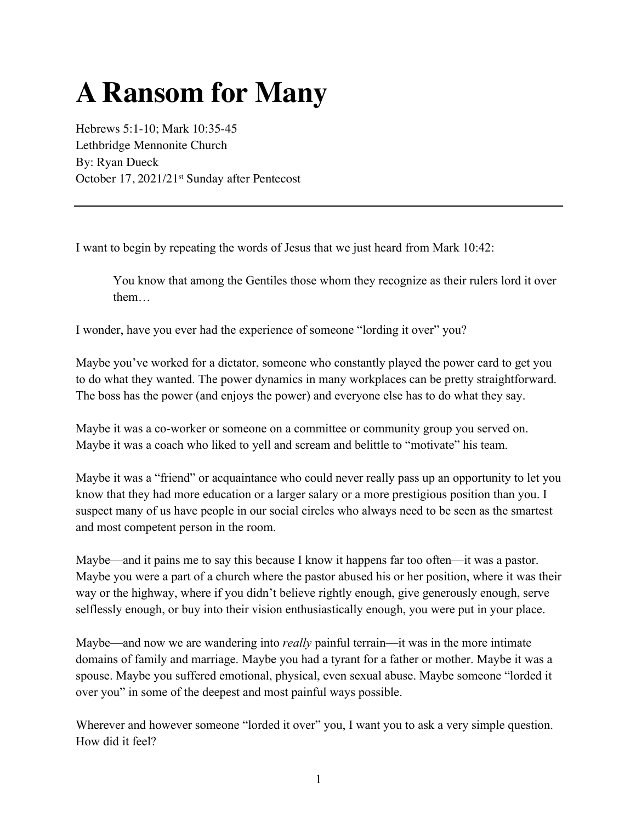## **A Ransom for Many**

Hebrews 5:1-10; Mark 10:35-45 Lethbridge Mennonite Church By: Ryan Dueck October 17, 2021/21<sup>st</sup> Sunday after Pentecost

I want to begin by repeating the words of Jesus that we just heard from Mark 10:42:

You know that among the Gentiles those whom they recognize as their rulers lord it over them…

I wonder, have you ever had the experience of someone "lording it over" you?

Maybe you've worked for a dictator, someone who constantly played the power card to get you to do what they wanted. The power dynamics in many workplaces can be pretty straightforward. The boss has the power (and enjoys the power) and everyone else has to do what they say.

Maybe it was a co-worker or someone on a committee or community group you served on. Maybe it was a coach who liked to yell and scream and belittle to "motivate" his team.

Maybe it was a "friend" or acquaintance who could never really pass up an opportunity to let you know that they had more education or a larger salary or a more prestigious position than you. I suspect many of us have people in our social circles who always need to be seen as the smartest and most competent person in the room.

Maybe—and it pains me to say this because I know it happens far too often—it was a pastor. Maybe you were a part of a church where the pastor abused his or her position, where it was their way or the highway, where if you didn't believe rightly enough, give generously enough, serve selflessly enough, or buy into their vision enthusiastically enough, you were put in your place.

Maybe—and now we are wandering into *really* painful terrain—it was in the more intimate domains of family and marriage. Maybe you had a tyrant for a father or mother. Maybe it was a spouse. Maybe you suffered emotional, physical, even sexual abuse. Maybe someone "lorded it over you" in some of the deepest and most painful ways possible.

Wherever and however someone "lorded it over" you, I want you to ask a very simple question. How did it feel?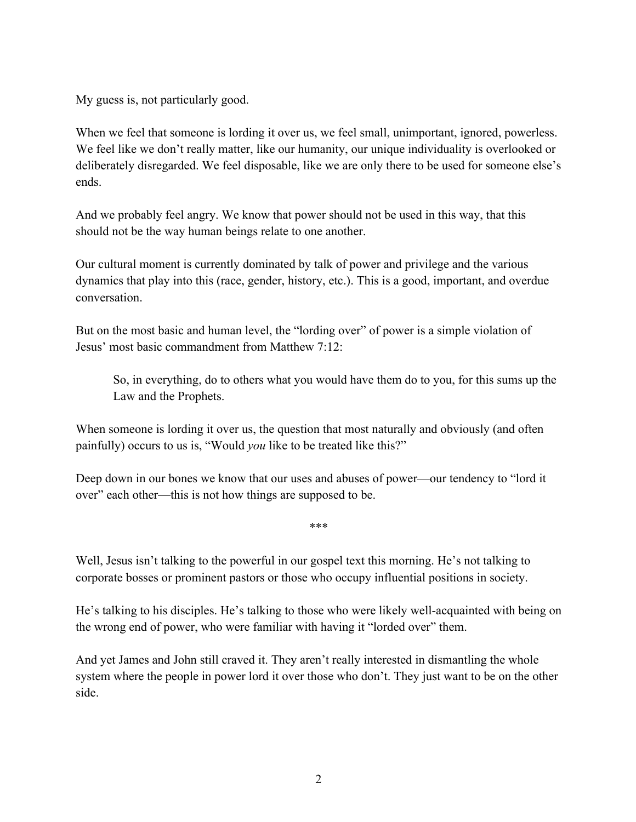My guess is, not particularly good.

When we feel that someone is lording it over us, we feel small, unimportant, ignored, powerless. We feel like we don't really matter, like our humanity, our unique individuality is overlooked or deliberately disregarded. We feel disposable, like we are only there to be used for someone else's ends.

And we probably feel angry. We know that power should not be used in this way, that this should not be the way human beings relate to one another.

Our cultural moment is currently dominated by talk of power and privilege and the various dynamics that play into this (race, gender, history, etc.). This is a good, important, and overdue conversation.

But on the most basic and human level, the "lording over" of power is a simple violation of Jesus' most basic commandment from Matthew 7:12:

So, in everything, do to others what you would have them do to you, for this sums up the Law and the Prophets.

When someone is lording it over us, the question that most naturally and obviously (and often painfully) occurs to us is, "Would *you* like to be treated like this?"

Deep down in our bones we know that our uses and abuses of power—our tendency to "lord it over" each other—this is not how things are supposed to be.

\*\*\*

Well, Jesus isn't talking to the powerful in our gospel text this morning. He's not talking to corporate bosses or prominent pastors or those who occupy influential positions in society.

He's talking to his disciples. He's talking to those who were likely well-acquainted with being on the wrong end of power, who were familiar with having it "lorded over" them.

And yet James and John still craved it. They aren't really interested in dismantling the whole system where the people in power lord it over those who don't. They just want to be on the other side.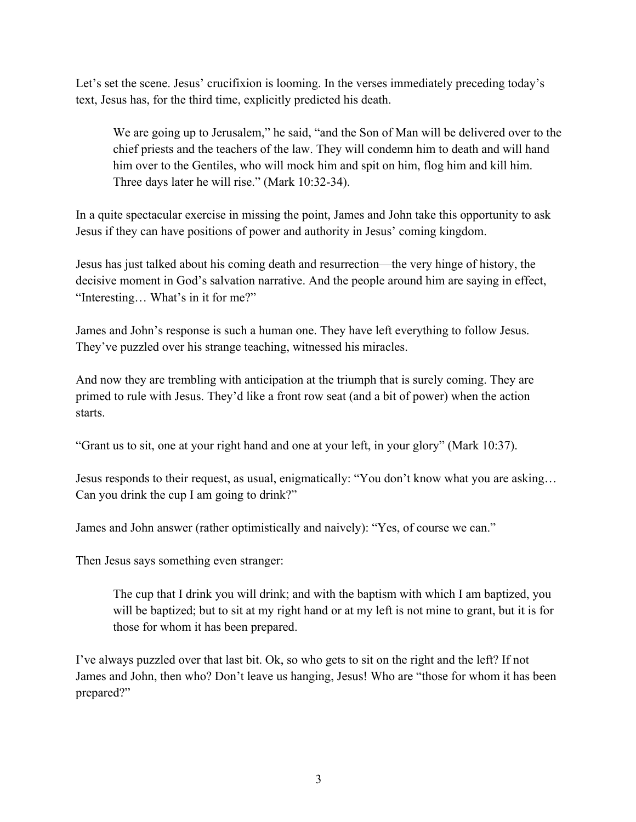Let's set the scene. Jesus' crucifixion is looming. In the verses immediately preceding today's text, Jesus has, for the third time, explicitly predicted his death.

We are going up to Jerusalem," he said, "and the Son of Man will be delivered over to the chief priests and the teachers of the law. They will condemn him to death and will hand him over to the Gentiles, who will mock him and spit on him, flog him and kill him. Three days later he will rise." (Mark 10:32-34).

In a quite spectacular exercise in missing the point, James and John take this opportunity to ask Jesus if they can have positions of power and authority in Jesus' coming kingdom.

Jesus has just talked about his coming death and resurrection—the very hinge of history, the decisive moment in God's salvation narrative. And the people around him are saying in effect, "Interesting… What's in it for me?"

James and John's response is such a human one. They have left everything to follow Jesus. They've puzzled over his strange teaching, witnessed his miracles.

And now they are trembling with anticipation at the triumph that is surely coming. They are primed to rule with Jesus. They'd like a front row seat (and a bit of power) when the action starts.

"Grant us to sit, one at your right hand and one at your left, in your glory" (Mark 10:37).

Jesus responds to their request, as usual, enigmatically: "You don't know what you are asking… Can you drink the cup I am going to drink?"

James and John answer (rather optimistically and naively): "Yes, of course we can."

Then Jesus says something even stranger:

The cup that I drink you will drink; and with the baptism with which I am baptized, you will be baptized; but to sit at my right hand or at my left is not mine to grant, but it is for those for whom it has been prepared.

I've always puzzled over that last bit. Ok, so who gets to sit on the right and the left? If not James and John, then who? Don't leave us hanging, Jesus! Who are "those for whom it has been prepared?"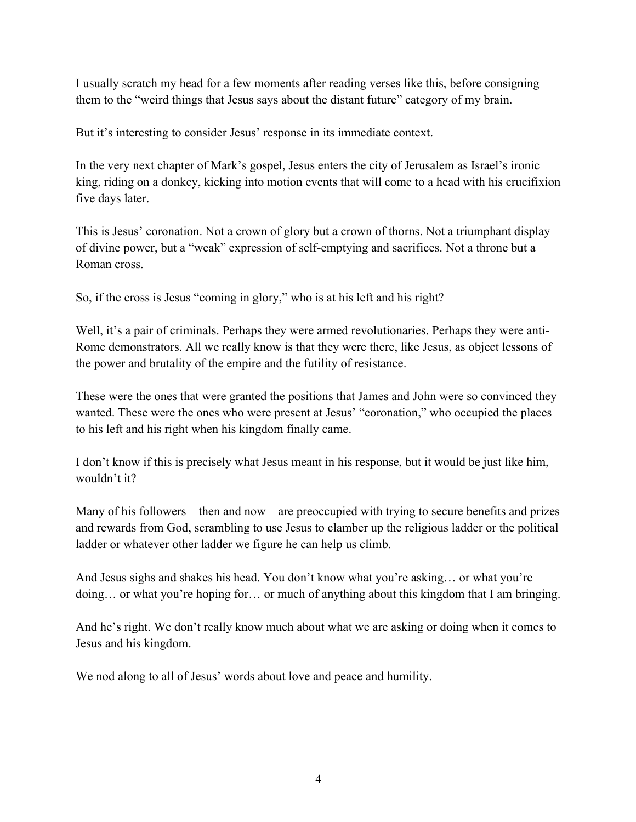I usually scratch my head for a few moments after reading verses like this, before consigning them to the "weird things that Jesus says about the distant future" category of my brain.

But it's interesting to consider Jesus' response in its immediate context.

In the very next chapter of Mark's gospel, Jesus enters the city of Jerusalem as Israel's ironic king, riding on a donkey, kicking into motion events that will come to a head with his crucifixion five days later.

This is Jesus' coronation. Not a crown of glory but a crown of thorns. Not a triumphant display of divine power, but a "weak" expression of self-emptying and sacrifices. Not a throne but a Roman cross.

So, if the cross is Jesus "coming in glory," who is at his left and his right?

Well, it's a pair of criminals. Perhaps they were armed revolutionaries. Perhaps they were anti-Rome demonstrators. All we really know is that they were there, like Jesus, as object lessons of the power and brutality of the empire and the futility of resistance.

These were the ones that were granted the positions that James and John were so convinced they wanted. These were the ones who were present at Jesus' "coronation," who occupied the places to his left and his right when his kingdom finally came.

I don't know if this is precisely what Jesus meant in his response, but it would be just like him, wouldn't it?

Many of his followers—then and now—are preoccupied with trying to secure benefits and prizes and rewards from God, scrambling to use Jesus to clamber up the religious ladder or the political ladder or whatever other ladder we figure he can help us climb.

And Jesus sighs and shakes his head. You don't know what you're asking… or what you're doing… or what you're hoping for… or much of anything about this kingdom that I am bringing.

And he's right. We don't really know much about what we are asking or doing when it comes to Jesus and his kingdom.

We nod along to all of Jesus' words about love and peace and humility.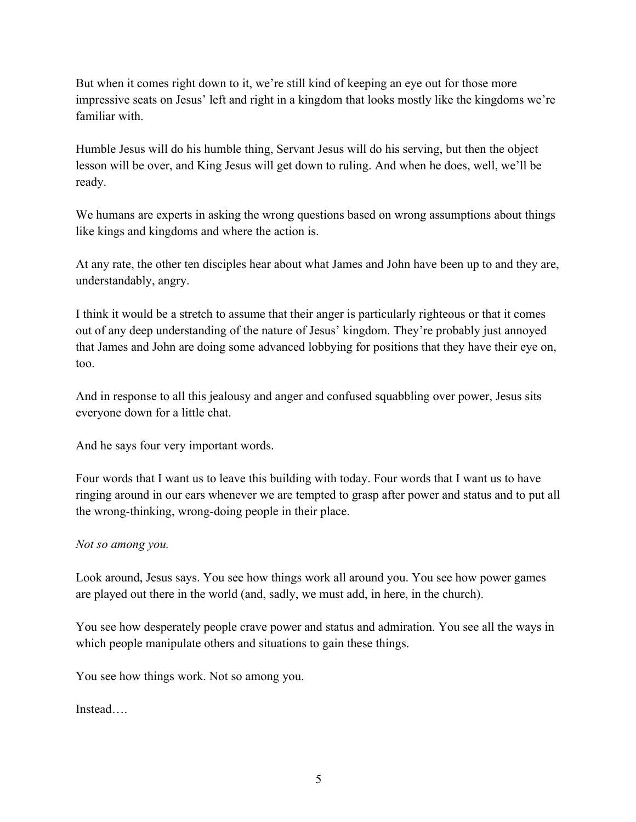But when it comes right down to it, we're still kind of keeping an eye out for those more impressive seats on Jesus' left and right in a kingdom that looks mostly like the kingdoms we're familiar with.

Humble Jesus will do his humble thing, Servant Jesus will do his serving, but then the object lesson will be over, and King Jesus will get down to ruling. And when he does, well, we'll be ready.

We humans are experts in asking the wrong questions based on wrong assumptions about things like kings and kingdoms and where the action is.

At any rate, the other ten disciples hear about what James and John have been up to and they are, understandably, angry.

I think it would be a stretch to assume that their anger is particularly righteous or that it comes out of any deep understanding of the nature of Jesus' kingdom. They're probably just annoyed that James and John are doing some advanced lobbying for positions that they have their eye on, too.

And in response to all this jealousy and anger and confused squabbling over power, Jesus sits everyone down for a little chat.

And he says four very important words.

Four words that I want us to leave this building with today. Four words that I want us to have ringing around in our ears whenever we are tempted to grasp after power and status and to put all the wrong-thinking, wrong-doing people in their place.

## *Not so among you.*

Look around, Jesus says. You see how things work all around you. You see how power games are played out there in the world (and, sadly, we must add, in here, in the church).

You see how desperately people crave power and status and admiration. You see all the ways in which people manipulate others and situations to gain these things.

You see how things work. Not so among you.

Instead….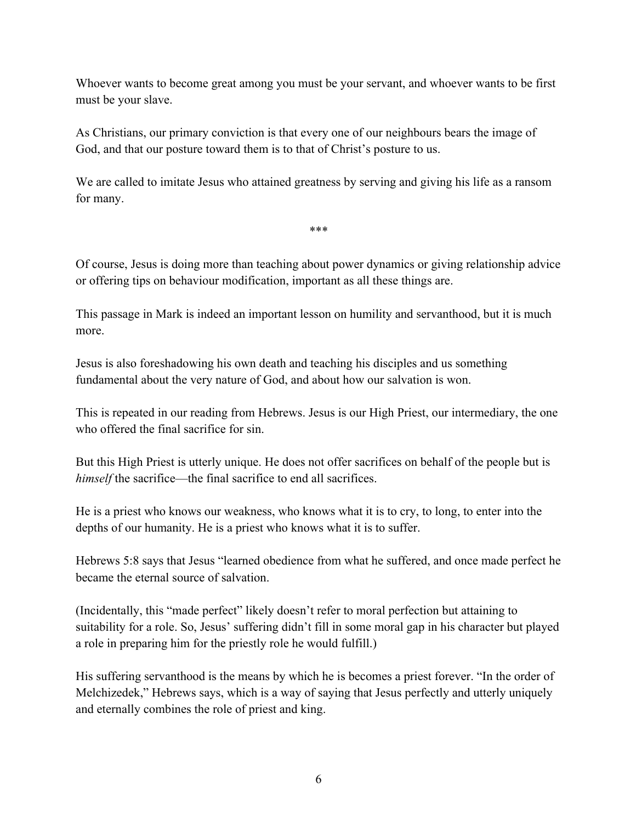Whoever wants to become great among you must be your servant, and whoever wants to be first must be your slave.

As Christians, our primary conviction is that every one of our neighbours bears the image of God, and that our posture toward them is to that of Christ's posture to us.

We are called to imitate Jesus who attained greatness by serving and giving his life as a ransom for many.

\*\*\*

Of course, Jesus is doing more than teaching about power dynamics or giving relationship advice or offering tips on behaviour modification, important as all these things are.

This passage in Mark is indeed an important lesson on humility and servanthood, but it is much more.

Jesus is also foreshadowing his own death and teaching his disciples and us something fundamental about the very nature of God, and about how our salvation is won.

This is repeated in our reading from Hebrews. Jesus is our High Priest, our intermediary, the one who offered the final sacrifice for sin.

But this High Priest is utterly unique. He does not offer sacrifices on behalf of the people but is *himself* the sacrifice—the final sacrifice to end all sacrifices.

He is a priest who knows our weakness, who knows what it is to cry, to long, to enter into the depths of our humanity. He is a priest who knows what it is to suffer.

Hebrews 5:8 says that Jesus "learned obedience from what he suffered, and once made perfect he became the eternal source of salvation.

(Incidentally, this "made perfect" likely doesn't refer to moral perfection but attaining to suitability for a role. So, Jesus' suffering didn't fill in some moral gap in his character but played a role in preparing him for the priestly role he would fulfill.)

His suffering servanthood is the means by which he is becomes a priest forever. "In the order of Melchizedek," Hebrews says, which is a way of saying that Jesus perfectly and utterly uniquely and eternally combines the role of priest and king.